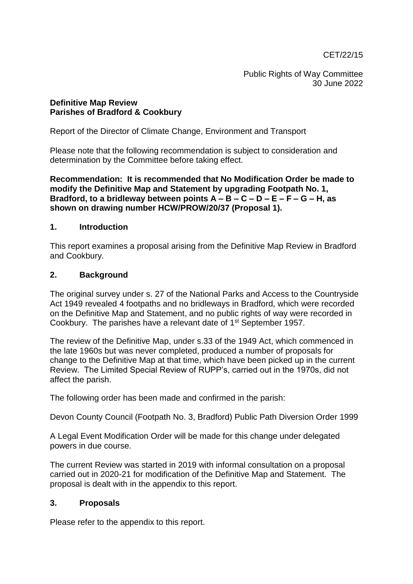CET/22/15

Public Rights of Way Committee 30 June 2022

#### **Definitive Map Review Parishes of Bradford & Cookbury**

Report of the Director of Climate Change, Environment and Transport

Please note that the following recommendation is subject to consideration and determination by the Committee before taking effect.

**Recommendation: It is recommended that No Modification Order be made to modify the Definitive Map and Statement by upgrading Footpath No. 1, Bradford, to a bridleway between points A – B – C – D – E – F – G – H, as shown on drawing number HCW/PROW/20/37 (Proposal 1).**

### **1. Introduction**

This report examines a proposal arising from the Definitive Map Review in Bradford and Cookbury.

### **2. Background**

The original survey under s. 27 of the National Parks and Access to the Countryside Act 1949 revealed 4 footpaths and no bridleways in Bradford, which were recorded on the Definitive Map and Statement, and no public rights of way were recorded in Cookbury. The parishes have a relevant date of 1st September 1957.

The review of the Definitive Map, under s.33 of the 1949 Act, which commenced in the late 1960s but was never completed, produced a number of proposals for change to the Definitive Map at that time, which have been picked up in the current Review. The Limited Special Review of RUPP's, carried out in the 1970s, did not affect the parish.

The following order has been made and confirmed in the parish:

Devon County Council (Footpath No. 3, Bradford) Public Path Diversion Order 1999

A Legal Event Modification Order will be made for this change under delegated powers in due course.

The current Review was started in 2019 with informal consultation on a proposal carried out in 2020-21 for modification of the Definitive Map and Statement. The proposal is dealt with in the appendix to this report.

## **3. Proposals**

Please refer to the appendix to this report.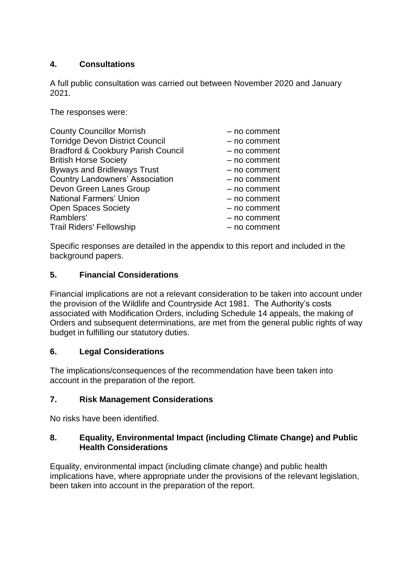# **4. Consultations**

A full public consultation was carried out between November 2020 and January 2021.

The responses were:

| <b>County Councillor Morrish</b>              | - no comment |
|-----------------------------------------------|--------------|
| <b>Torridge Devon District Council</b>        | - no comment |
| <b>Bradford &amp; Cookbury Parish Council</b> | - no comment |
| <b>British Horse Society</b>                  | - no comment |
| <b>Byways and Bridleways Trust</b>            | - no comment |
| <b>Country Landowners' Association</b>        | - no comment |
| Devon Green Lanes Group                       | - no comment |
| <b>National Farmers' Union</b>                | - no comment |
| <b>Open Spaces Society</b>                    | - no comment |
| Ramblers'                                     | - no comment |
| <b>Trail Riders' Fellowship</b>               | - no comment |

Specific responses are detailed in the appendix to this report and included in the background papers.

## **5. Financial Considerations**

Financial implications are not a relevant consideration to be taken into account under the provision of the Wildlife and Countryside Act 1981. The Authority's costs associated with Modification Orders, including Schedule 14 appeals, the making of Orders and subsequent determinations, are met from the general public rights of way budget in fulfilling our statutory duties.

## **6. Legal Considerations**

The implications/consequences of the recommendation have been taken into account in the preparation of the report.

# **7. Risk Management Considerations**

No risks have been identified.

## **8. Equality, Environmental Impact (including Climate Change) and Public Health Considerations**

Equality, environmental impact (including climate change) and public health implications have, where appropriate under the provisions of the relevant legislation, been taken into account in the preparation of the report.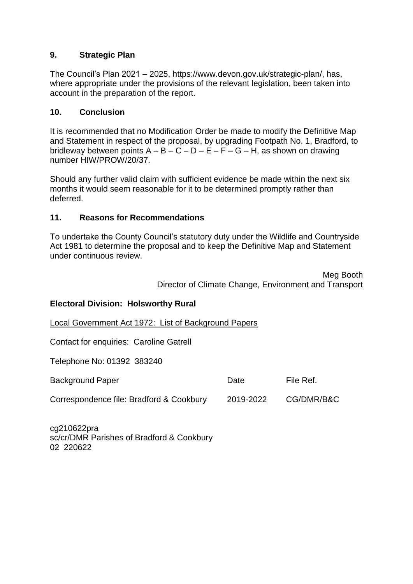## **9. Strategic Plan**

The Council's Plan 2021 – 2025, https://www.devon.gov.uk/strategic-plan/, has, where appropriate under the provisions of the relevant legislation, been taken into account in the preparation of the report.

#### **10. Conclusion**

It is recommended that no Modification Order be made to modify the Definitive Map and Statement in respect of the proposal, by upgrading Footpath No. 1, Bradford, to bridleway between points  $A - B - C - D - E - F - G - H$ , as shown on drawing number HIW/PROW/20/37.

Should any further valid claim with sufficient evidence be made within the next six months it would seem reasonable for it to be determined promptly rather than deferred.

#### **11. Reasons for Recommendations**

To undertake the County Council's statutory duty under the Wildlife and Countryside Act 1981 to determine the proposal and to keep the Definitive Map and Statement under continuous review.

> Meg Booth Director of Climate Change, Environment and Transport

#### **Electoral Division: Holsworthy Rural**

Local Government Act 1972: List of Background Papers

Contact for enquiries: Caroline Gatrell

Telephone No: 01392 383240

| <b>Background Paper</b>                  | Date      | File Ref.  |
|------------------------------------------|-----------|------------|
| Correspondence file: Bradford & Cookbury | 2019-2022 | CG/DMR/B&C |

cg210622pra sc/cr/DMR Parishes of Bradford & Cookbury 02 220622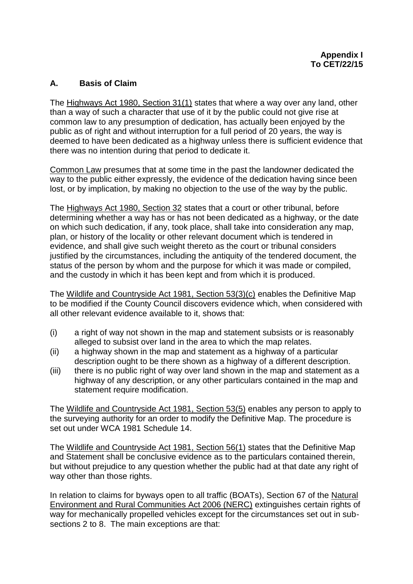## **A. Basis of Claim**

The Highways Act 1980, Section 31(1) states that where a way over any land, other than a way of such a character that use of it by the public could not give rise at common law to any presumption of dedication, has actually been enjoyed by the public as of right and without interruption for a full period of 20 years, the way is deemed to have been dedicated as a highway unless there is sufficient evidence that there was no intention during that period to dedicate it.

Common Law presumes that at some time in the past the landowner dedicated the way to the public either expressly, the evidence of the dedication having since been lost, or by implication, by making no objection to the use of the way by the public.

The Highways Act 1980, Section 32 states that a court or other tribunal, before determining whether a way has or has not been dedicated as a highway, or the date on which such dedication, if any, took place, shall take into consideration any map, plan, or history of the locality or other relevant document which is tendered in evidence, and shall give such weight thereto as the court or tribunal considers justified by the circumstances, including the antiquity of the tendered document, the status of the person by whom and the purpose for which it was made or compiled, and the custody in which it has been kept and from which it is produced.

The Wildlife and Countryside Act 1981, Section 53(3)(c) enables the Definitive Map to be modified if the County Council discovers evidence which, when considered with all other relevant evidence available to it, shows that:

- (i) a right of way not shown in the map and statement subsists or is reasonably alleged to subsist over land in the area to which the map relates.
- (ii) a highway shown in the map and statement as a highway of a particular description ought to be there shown as a highway of a different description.
- (iii) there is no public right of way over land shown in the map and statement as a highway of any description, or any other particulars contained in the map and statement require modification.

The Wildlife and Countryside Act 1981, Section 53(5) enables any person to apply to the surveying authority for an order to modify the Definitive Map. The procedure is set out under WCA 1981 Schedule 14.

The Wildlife and Countryside Act 1981, Section 56(1) states that the Definitive Map and Statement shall be conclusive evidence as to the particulars contained therein, but without prejudice to any question whether the public had at that date any right of way other than those rights.

In relation to claims for byways open to all traffic (BOATs), Section 67 of the Natural Environment and Rural Communities Act 2006 (NERC) extinguishes certain rights of way for mechanically propelled vehicles except for the circumstances set out in subsections 2 to 8. The main exceptions are that: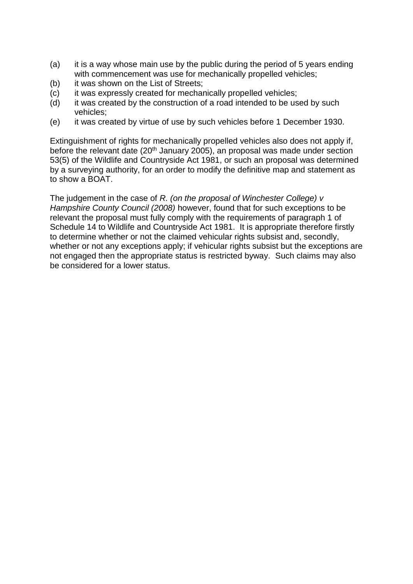- (a) it is a way whose main use by the public during the period of 5 years ending with commencement was use for mechanically propelled vehicles;
- (b) it was shown on the List of Streets;
- (c) it was expressly created for mechanically propelled vehicles;
- (d) it was created by the construction of a road intended to be used by such vehicles;
- (e) it was created by virtue of use by such vehicles before 1 December 1930.

Extinguishment of rights for mechanically propelled vehicles also does not apply if, before the relevant date  $(20<sup>th</sup>$  January 2005), an proposal was made under section 53(5) of the Wildlife and Countryside Act 1981, or such an proposal was determined by a surveying authority, for an order to modify the definitive map and statement as to show a BOAT.

The judgement in the case of *R. (on the proposal of Winchester College) v Hampshire County Council (2008)* however, found that for such exceptions to be relevant the proposal must fully comply with the requirements of paragraph 1 of Schedule 14 to Wildlife and Countryside Act 1981. It is appropriate therefore firstly to determine whether or not the claimed vehicular rights subsist and, secondly, whether or not any exceptions apply; if vehicular rights subsist but the exceptions are not engaged then the appropriate status is restricted byway. Such claims may also be considered for a lower status.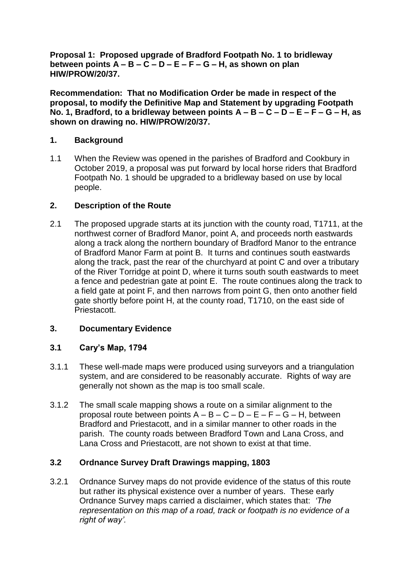**Proposal 1: Proposed upgrade of Bradford Footpath No. 1 to bridleway between points A – B – C – D – E – F – G – H, as shown on plan HIW/PROW/20/37.**

**Recommendation: That no Modification Order be made in respect of the proposal, to modify the Definitive Map and Statement by upgrading Footpath No. 1, Bradford, to a bridleway between points A – B – C – D – E – F – G – H, as shown on drawing no. HIW/PROW/20/37.** 

### **1. Background**

1.1 When the Review was opened in the parishes of Bradford and Cookbury in October 2019, a proposal was put forward by local horse riders that Bradford Footpath No. 1 should be upgraded to a bridleway based on use by local people.

### **2. Description of the Route**

2.1 The proposed upgrade starts at its junction with the county road, T1711, at the northwest corner of Bradford Manor, point A, and proceeds north eastwards along a track along the northern boundary of Bradford Manor to the entrance of Bradford Manor Farm at point B. It turns and continues south eastwards along the track, past the rear of the churchyard at point C and over a tributary of the River Torridge at point D, where it turns south south eastwards to meet a fence and pedestrian gate at point E. The route continues along the track to a field gate at point F, and then narrows from point G, then onto another field gate shortly before point H, at the county road, T1710, on the east side of Priestacott.

## **3. Documentary Evidence**

## **3.1 Cary's Map, 1794**

- 3.1.1 These well-made maps were produced using surveyors and a triangulation system, and are considered to be reasonably accurate. Rights of way are generally not shown as the map is too small scale.
- 3.1.2 The small scale mapping shows a route on a similar alignment to the proposal route between points  $A - B - C - D - E - F - G - H$ , between Bradford and Priestacott, and in a similar manner to other roads in the parish. The county roads between Bradford Town and Lana Cross, and Lana Cross and Priestacott, are not shown to exist at that time.

#### **3.2 Ordnance Survey Draft Drawings mapping, 1803**

3.2.1 Ordnance Survey maps do not provide evidence of the status of this route but rather its physical existence over a number of years. These early Ordnance Survey maps carried a disclaimer, which states that: *'The representation on this map of a road, track or footpath is no evidence of a right of way'.*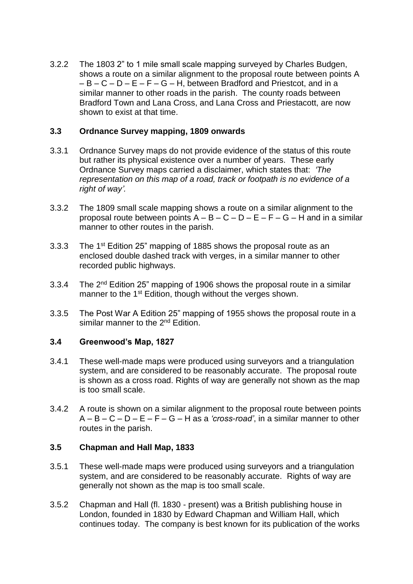3.2.2 The 1803 2" to 1 mile small scale mapping surveyed by Charles Budgen, shows a route on a similar alignment to the proposal route between points A  $-B - C - D - E - F - G - H$ , between Bradford and Priestcot, and in a similar manner to other roads in the parish. The county roads between Bradford Town and Lana Cross, and Lana Cross and Priestacott, are now shown to exist at that time.

#### **3.3 Ordnance Survey mapping, 1809 onwards**

- 3.3.1 Ordnance Survey maps do not provide evidence of the status of this route but rather its physical existence over a number of years. These early Ordnance Survey maps carried a disclaimer, which states that: *'The representation on this map of a road, track or footpath is no evidence of a right of way'.*
- 3.3.2 The 1809 small scale mapping shows a route on a similar alignment to the proposal route between points  $A - B - C - D - E - F - G - H$  and in a similar manner to other routes in the parish.
- 3.3.3 The 1st Edition 25" mapping of 1885 shows the proposal route as an enclosed double dashed track with verges, in a similar manner to other recorded public highways.
- 3.3.4 The 2<sup>nd</sup> Edition 25" mapping of 1906 shows the proposal route in a similar manner to the 1<sup>st</sup> Edition, though without the verges shown.
- 3.3.5 The Post War A Edition 25" mapping of 1955 shows the proposal route in a similar manner to the 2<sup>nd</sup> Edition.

#### **3.4 Greenwood's Map, 1827**

- 3.4.1 These well-made maps were produced using surveyors and a triangulation system, and are considered to be reasonably accurate. The proposal route is shown as a cross road. Rights of way are generally not shown as the map is too small scale.
- 3.4.2 A route is shown on a similar alignment to the proposal route between points A – B – C – D – E – F – G – H as a *'cross-road'*, in a similar manner to other routes in the parish.

#### **3.5 Chapman and Hall Map, 1833**

- 3.5.1 These well-made maps were produced using surveyors and a triangulation system, and are considered to be reasonably accurate. Rights of way are generally not shown as the map is too small scale.
- 3.5.2 Chapman and Hall (fl. 1830 present) was a British publishing house in London, founded in 1830 by Edward Chapman and William Hall, which continues today. The company is best known for its publication of the works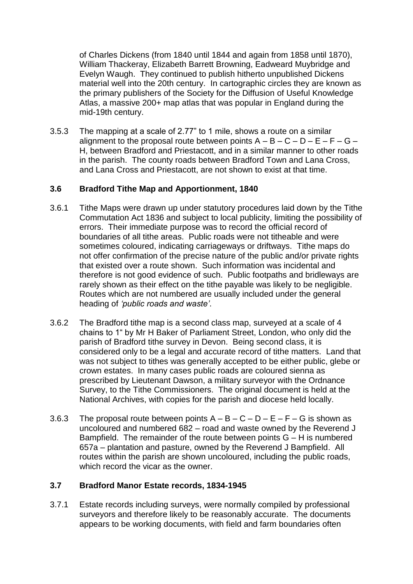of Charles Dickens (from 1840 until 1844 and again from 1858 until 1870), William Thackeray, Elizabeth Barrett Browning, Eadweard Muybridge and Evelyn Waugh. They continued to publish hitherto unpublished Dickens material well into the 20th century. In cartographic circles they are known as the primary publishers of the Society for the Diffusion of Useful Knowledge Atlas, a massive 200+ map atlas that was popular in England during the mid-19th century.

3.5.3 The mapping at a scale of 2.77" to 1 mile, shows a route on a similar alignment to the proposal route between points  $A - B - C - D - E - F - G - D$ H, between Bradford and Priestacott, and in a similar manner to other roads in the parish. The county roads between Bradford Town and Lana Cross, and Lana Cross and Priestacott, are not shown to exist at that time.

### **3.6 Bradford Tithe Map and Apportionment, 1840**

- 3.6.1 Tithe Maps were drawn up under statutory procedures laid down by the Tithe Commutation Act 1836 and subject to local publicity, limiting the possibility of errors. Their immediate purpose was to record the official record of boundaries of all tithe areas. Public roads were not titheable and were sometimes coloured, indicating carriageways or driftways. Tithe maps do not offer confirmation of the precise nature of the public and/or private rights that existed over a route shown. Such information was incidental and therefore is not good evidence of such. Public footpaths and bridleways are rarely shown as their effect on the tithe payable was likely to be negligible. Routes which are not numbered are usually included under the general heading of *'public roads and waste'*.
- 3.6.2 The Bradford tithe map is a second class map, surveyed at a scale of 4 chains to 1" by Mr H Baker of Parliament Street, London, who only did the parish of Bradford tithe survey in Devon. Being second class, it is considered only to be a legal and accurate record of tithe matters. Land that was not subject to tithes was generally accepted to be either public, glebe or crown estates. In many cases public roads are coloured sienna as prescribed by Lieutenant Dawson, a military surveyor with the Ordnance Survey, to the Tithe Commissioners. The original document is held at the National Archives, with copies for the parish and diocese held locally.
- 3.6.3 The proposal route between points  $A B C D E F G$  is shown as uncoloured and numbered 682 – road and waste owned by the Reverend J Bampfield. The remainder of the route between points  $G - H$  is numbered 657a – plantation and pasture, owned by the Reverend J Bampfield. All routes within the parish are shown uncoloured, including the public roads, which record the vicar as the owner.

## **3.7 Bradford Manor Estate records, 1834-1945**

3.7.1 Estate records including surveys, were normally compiled by professional surveyors and therefore likely to be reasonably accurate. The documents appears to be working documents, with field and farm boundaries often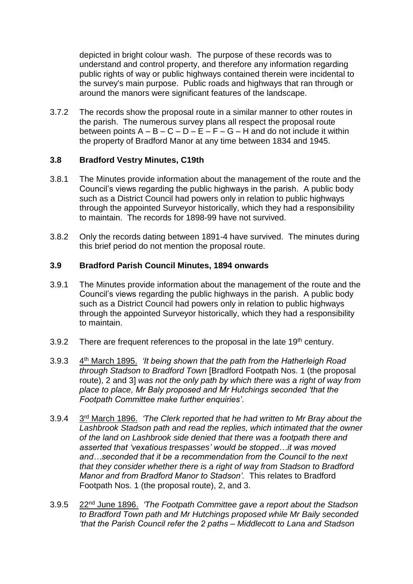depicted in bright colour wash. The purpose of these records was to understand and control property, and therefore any information regarding public rights of way or public highways contained therein were incidental to the survey's main purpose. Public roads and highways that ran through or around the manors were significant features of the landscape.

3.7.2 The records show the proposal route in a similar manner to other routes in the parish. The numerous survey plans all respect the proposal route between points  $A - B - C - D - E - F - G - H$  and do not include it within the property of Bradford Manor at any time between 1834 and 1945.

### **3.8 Bradford Vestry Minutes, C19th**

- 3.8.1 The Minutes provide information about the management of the route and the Council's views regarding the public highways in the parish. A public body such as a District Council had powers only in relation to public highways through the appointed Surveyor historically, which they had a responsibility to maintain. The records for 1898-99 have not survived.
- 3.8.2 Only the records dating between 1891-4 have survived. The minutes during this brief period do not mention the proposal route.

#### **3.9 Bradford Parish Council Minutes, 1894 onwards**

- 3.9.1 The Minutes provide information about the management of the route and the Council's views regarding the public highways in the parish. A public body such as a District Council had powers only in relation to public highways through the appointed Surveyor historically, which they had a responsibility to maintain.
- 3.9.2 There are frequent references to the proposal in the late  $19<sup>th</sup>$  century.
- 3.9.3 4 th March 1895. *'It being shown that the path from the Hatherleigh Road through Stadson to Bradford Town* [Bradford Footpath Nos. 1 (the proposal route), 2 and 3] *was not the only path by which there was a right of way from place to place, Mr Baly proposed and Mr Hutchings seconded 'that the Footpath Committee make further enquiries'*.
- $3.9.4$  $3<sup>rd</sup>$  March 1896. *'The Clerk reported that he had written to Mr Bray about the Lashbrook Stadson path and read the replies, which intimated that the owner of the land on Lashbrook side denied that there was a footpath there and asserted that 'vexatious trespasses' would be stopped…it was moved and…seconded that it be a recommendation from the Council to the next that they consider whether there is a right of way from Stadson to Bradford Manor and from Bradford Manor to Stadson'.* This relates to Bradford Footpath Nos. 1 (the proposal route), 2, and 3.
- $3.9.5$ 22<sup>nd</sup> June 1896. *'The Footpath Committee gave a report about the Stadson to Bradford Town path and Mr Hutchings proposed while Mr Baily seconded 'that the Parish Council refer the 2 paths – Middlecott to Lana and Stadson*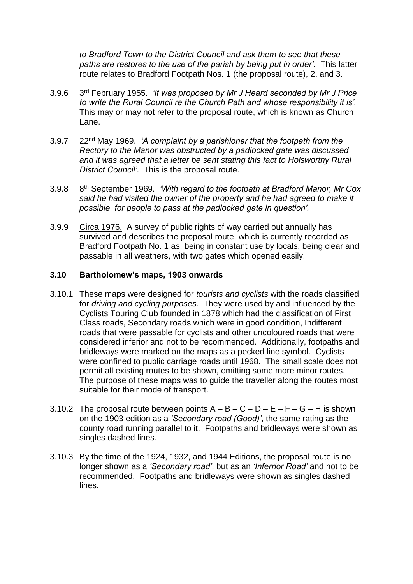*to Bradford Town to the District Council and ask them to see that these paths are restores to the use of the parish by being put in order'.* This latter route relates to Bradford Footpath Nos. 1 (the proposal route), 2, and 3.

- $3.9.6$ 3<sup>rd</sup> February 1955. *'It was proposed by Mr J Heard seconded by Mr J Price to write the Rural Council re the Church Path and whose responsibility it is'.* This may or may not refer to the proposal route, which is known as Church Lane.
- 3.9.7 22nd May 1969. *'A complaint by a parishioner that the footpath from the Rectory to the Manor was obstructed by a padlocked gate was discussed and it was agreed that a letter be sent stating this fact to Holsworthy Rural District Council'*. This is the proposal route.
- $3.9.8$ 8<sup>th</sup> September 1969. *'With regard to the footpath at Bradford Manor, Mr Cox said he had visited the owner of the property and he had agreed to make it possible for people to pass at the padlocked gate in question'.*
- 3.9.9 Circa 1976. A survey of public rights of way carried out annually has survived and describes the proposal route, which is currently recorded as Bradford Footpath No. 1 as, being in constant use by locals, being clear and passable in all weathers, with two gates which opened easily.

#### **3.10 Bartholomew's maps, 1903 onwards**

- 3.10.1 These maps were designed for *tourists and cyclists* with the roads classified for *driving and cycling purposes.* They were used by and influenced by the Cyclists Touring Club founded in 1878 which had the classification of First Class roads, Secondary roads which were in good condition, Indifferent roads that were passable for cyclists and other uncoloured roads that were considered inferior and not to be recommended. Additionally, footpaths and bridleways were marked on the maps as a pecked line symbol. Cyclists were confined to public carriage roads until 1968. The small scale does not permit all existing routes to be shown, omitting some more minor routes. The purpose of these maps was to guide the traveller along the routes most suitable for their mode of transport.
- 3.10.2 The proposal route between points  $A B C D E F G H$  is shown on the 1903 edition as a *'Secondary road (Good)'*, the same rating as the county road running parallel to it. Footpaths and bridleways were shown as singles dashed lines.
- 3.10.3 By the time of the 1924, 1932, and 1944 Editions, the proposal route is no longer shown as a *'Secondary road'*, but as an *'Inferrior Road'* and not to be recommended. Footpaths and bridleways were shown as singles dashed lines.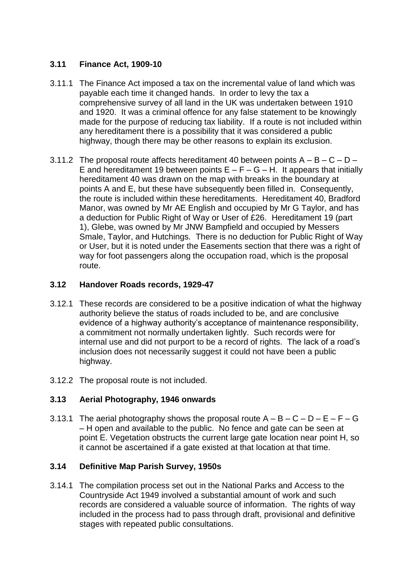## **3.11 Finance Act, 1909-10**

- 3.11.1 The Finance Act imposed a tax on the incremental value of land which was payable each time it changed hands. In order to levy the tax a comprehensive survey of all land in the UK was undertaken between 1910 and 1920. It was a criminal offence for any false statement to be knowingly made for the purpose of reducing tax liability. If a route is not included within any hereditament there is a possibility that it was considered a public highway, though there may be other reasons to explain its exclusion.
- 3.11.2 The proposal route affects hereditament 40 between points  $A B C D -$ E and hereditament 19 between points  $E - F - G - H$ . It appears that initially hereditament 40 was drawn on the map with breaks in the boundary at points A and E, but these have subsequently been filled in. Consequently, the route is included within these hereditaments. Hereditament 40, Bradford Manor, was owned by Mr AE English and occupied by Mr G Taylor, and has a deduction for Public Right of Way or User of £26. Hereditament 19 (part 1), Glebe, was owned by Mr JNW Bampfield and occupied by Messers Smale, Taylor, and Hutchings. There is no deduction for Public Right of Way or User, but it is noted under the Easements section that there was a right of way for foot passengers along the occupation road, which is the proposal route.

## **3.12 Handover Roads records, 1929-47**

- 3.12.1 These records are considered to be a positive indication of what the highway authority believe the status of roads included to be, and are conclusive evidence of a highway authority's acceptance of maintenance responsibility, a commitment not normally undertaken lightly. Such records were for internal use and did not purport to be a record of rights. The lack of a road's inclusion does not necessarily suggest it could not have been a public highway.
- 3.12.2 The proposal route is not included.

## **3.13 Aerial Photography, 1946 onwards**

3.13.1 The aerial photography shows the proposal route  $A - B - C - D - E - F - G$ – H open and available to the public. No fence and gate can be seen at point E. Vegetation obstructs the current large gate location near point H, so it cannot be ascertained if a gate existed at that location at that time.

## **3.14 Definitive Map Parish Survey, 1950s**

3.14.1 The compilation process set out in the National Parks and Access to the Countryside Act 1949 involved a substantial amount of work and such records are considered a valuable source of information. The rights of way included in the process had to pass through draft, provisional and definitive stages with repeated public consultations.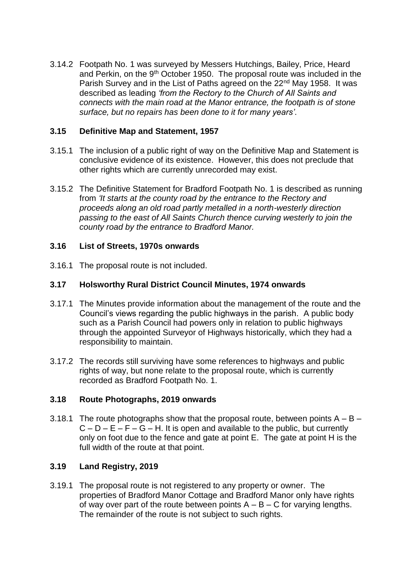3.14.2 Footpath No. 1 was surveyed by Messers Hutchings, Bailey, Price, Heard and Perkin, on the 9<sup>th</sup> October 1950. The proposal route was included in the Parish Survey and in the List of Paths agreed on the 22<sup>nd</sup> May 1958. It was described as leading *'from the Rectory to the Church of All Saints and connects with the main road at the Manor entrance, the footpath is of stone surface, but no repairs has been done to it for many years'*.

### **3.15 Definitive Map and Statement, 1957**

- 3.15.1 The inclusion of a public right of way on the Definitive Map and Statement is conclusive evidence of its existence. However, this does not preclude that other rights which are currently unrecorded may exist.
- 3.15.2 The Definitive Statement for Bradford Footpath No. 1 is described as running from *'It starts at the county road by the entrance to the Rectory and proceeds along an old road partly metalled in a north-westerly direction passing to the east of All Saints Church thence curving westerly to join the county road by the entrance to Bradford Manor.*

### **3.16 List of Streets, 1970s onwards**

3.16.1 The proposal route is not included.

### **3.17 Holsworthy Rural District Council Minutes, 1974 onwards**

- 3.17.1 The Minutes provide information about the management of the route and the Council's views regarding the public highways in the parish. A public body such as a Parish Council had powers only in relation to public highways through the appointed Surveyor of Highways historically, which they had a responsibility to maintain.
- 3.17.2 The records still surviving have some references to highways and public rights of way, but none relate to the proposal route, which is currently recorded as Bradford Footpath No. 1.

#### **3.18 Route Photographs, 2019 onwards**

3.18.1 The route photographs show that the proposal route, between points  $A - B C - D - E - F - G - H$ . It is open and available to the public, but currently only on foot due to the fence and gate at point E. The gate at point H is the full width of the route at that point.

## **3.19 Land Registry, 2019**

3.19.1 The proposal route is not registered to any property or owner. The properties of Bradford Manor Cottage and Bradford Manor only have rights of way over part of the route between points  $A - B - C$  for varying lengths. The remainder of the route is not subject to such rights.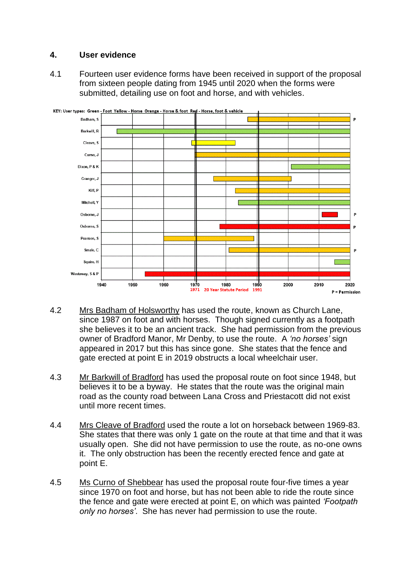## **4. User evidence**

4.1 Fourteen user evidence forms have been received in support of the proposal from sixteen people dating from 1945 until 2020 when the forms were submitted, detailing use on foot and horse, and with vehicles.



- 4.2 Mrs Badham of Holsworthy has used the route, known as Church Lane, since 1987 on foot and with horses. Though signed currently as a footpath she believes it to be an ancient track. She had permission from the previous owner of Bradford Manor, Mr Denby, to use the route. A *'no horses'* sign appeared in 2017 but this has since gone. She states that the fence and gate erected at point E in 2019 obstructs a local wheelchair user.
- 4.3 Mr Barkwill of Bradford has used the proposal route on foot since 1948, but believes it to be a byway. He states that the route was the original main road as the county road between Lana Cross and Priestacott did not exist until more recent times.
- 4.4 Mrs Cleave of Bradford used the route a lot on horseback between 1969-83. She states that there was only 1 gate on the route at that time and that it was usually open. She did not have permission to use the route, as no-one owns it. The only obstruction has been the recently erected fence and gate at point E.
- 4.5 Ms Curno of Shebbear has used the proposal route four-five times a year since 1970 on foot and horse, but has not been able to ride the route since the fence and gate were erected at point E, on which was painted *'Footpath only no horses'*. She has never had permission to use the route.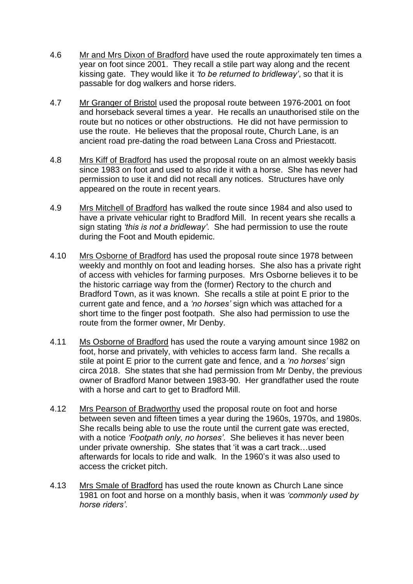- 4.6 Mr and Mrs Dixon of Bradford have used the route approximately ten times a year on foot since 2001. They recall a stile part way along and the recent kissing gate. They would like it *'to be returned to bridleway'*, so that it is passable for dog walkers and horse riders.
- 4.7 Mr Granger of Bristol used the proposal route between 1976-2001 on foot and horseback several times a year. He recalls an unauthorised stile on the route but no notices or other obstructions. He did not have permission to use the route. He believes that the proposal route, Church Lane, is an ancient road pre-dating the road between Lana Cross and Priestacott.
- 4.8 Mrs Kiff of Bradford has used the proposal route on an almost weekly basis since 1983 on foot and used to also ride it with a horse. She has never had permission to use it and did not recall any notices. Structures have only appeared on the route in recent years.
- 4.9 Mrs Mitchell of Bradford has walked the route since 1984 and also used to have a private vehicular right to Bradford Mill. In recent years she recalls a sign stating *'this is not a bridleway'*. She had permission to use the route during the Foot and Mouth epidemic.
- 4.10 Mrs Osborne of Bradford has used the proposal route since 1978 between weekly and monthly on foot and leading horses. She also has a private right of access with vehicles for farming purposes. Mrs Osborne believes it to be the historic carriage way from the (former) Rectory to the church and Bradford Town, as it was known. She recalls a stile at point E prior to the current gate and fence, and a *'no horses'* sign which was attached for a short time to the finger post footpath. She also had permission to use the route from the former owner, Mr Denby.
- 4.11 Ms Osborne of Bradford has used the route a varying amount since 1982 on foot, horse and privately, with vehicles to access farm land. She recalls a stile at point E prior to the current gate and fence, and a *'no horses'* sign circa 2018. She states that she had permission from Mr Denby, the previous owner of Bradford Manor between 1983-90. Her grandfather used the route with a horse and cart to get to Bradford Mill.
- 4.12 Mrs Pearson of Bradworthy used the proposal route on foot and horse between seven and fifteen times a year during the 1960s, 1970s, and 1980s. She recalls being able to use the route until the current gate was erected, with a notice *'Footpath only, no horses'*. She believes it has never been under private ownership. She states that 'it was a cart track…used afterwards for locals to ride and walk. In the 1960's it was also used to access the cricket pitch.
- 4.13 Mrs Smale of Bradford has used the route known as Church Lane since 1981 on foot and horse on a monthly basis, when it was *'commonly used by horse riders'*.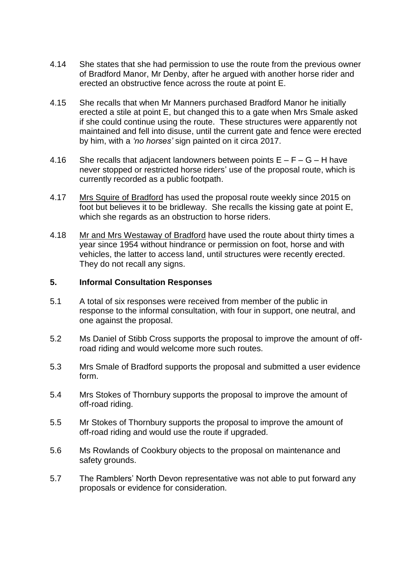- 4.14 She states that she had permission to use the route from the previous owner of Bradford Manor, Mr Denby, after he argued with another horse rider and erected an obstructive fence across the route at point E.
- 4.15 She recalls that when Mr Manners purchased Bradford Manor he initially erected a stile at point E, but changed this to a gate when Mrs Smale asked if she could continue using the route. These structures were apparently not maintained and fell into disuse, until the current gate and fence were erected by him, with a *'no horses'* sign painted on it circa 2017.
- 4.16 She recalls that adjacent landowners between points  $E F G H$  have never stopped or restricted horse riders' use of the proposal route, which is currently recorded as a public footpath.
- 4.17 Mrs Squire of Bradford has used the proposal route weekly since 2015 on foot but believes it to be bridleway. She recalls the kissing gate at point E, which she regards as an obstruction to horse riders.
- 4.18 Mr and Mrs Westaway of Bradford have used the route about thirty times a year since 1954 without hindrance or permission on foot, horse and with vehicles, the latter to access land, until structures were recently erected. They do not recall any signs.

#### **5. Informal Consultation Responses**

- 5.1 A total of six responses were received from member of the public in response to the informal consultation, with four in support, one neutral, and one against the proposal.
- 5.2 Ms Daniel of Stibb Cross supports the proposal to improve the amount of offroad riding and would welcome more such routes.
- 5.3 Mrs Smale of Bradford supports the proposal and submitted a user evidence form.
- 5.4 Mrs Stokes of Thornbury supports the proposal to improve the amount of off-road riding.
- 5.5 Mr Stokes of Thornbury supports the proposal to improve the amount of off-road riding and would use the route if upgraded.
- 5.6 Ms Rowlands of Cookbury objects to the proposal on maintenance and safety grounds.
- 5.7 The Ramblers' North Devon representative was not able to put forward any proposals or evidence for consideration.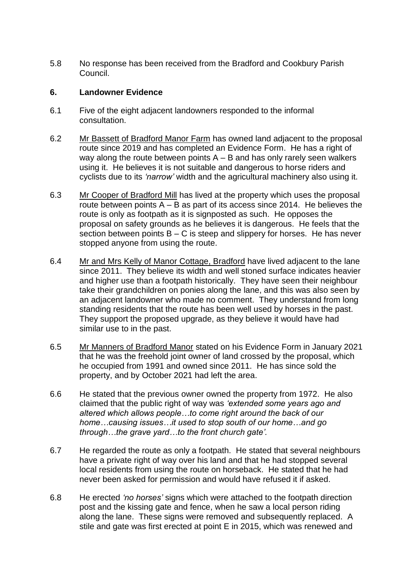5.8 No response has been received from the Bradford and Cookbury Parish Council.

#### **6. Landowner Evidence**

- 6.1 Five of the eight adjacent landowners responded to the informal consultation.
- 6.2 Mr Bassett of Bradford Manor Farm has owned land adjacent to the proposal route since 2019 and has completed an Evidence Form. He has a right of way along the route between points  $A - B$  and has only rarely seen walkers using it. He believes it is not suitable and dangerous to horse riders and cyclists due to its *'narrow'* width and the agricultural machinery also using it.
- 6.3 Mr Cooper of Bradford Mill has lived at the property which uses the proposal route between points  $A - B$  as part of its access since 2014. He believes the route is only as footpath as it is signposted as such. He opposes the proposal on safety grounds as he believes it is dangerous. He feels that the section between points  $B - C$  is steep and slippery for horses. He has never stopped anyone from using the route.
- 6.4 Mr and Mrs Kelly of Manor Cottage, Bradford have lived adjacent to the lane since 2011. They believe its width and well stoned surface indicates heavier and higher use than a footpath historically. They have seen their neighbour take their grandchildren on ponies along the lane, and this was also seen by an adjacent landowner who made no comment. They understand from long standing residents that the route has been well used by horses in the past. They support the proposed upgrade, as they believe it would have had similar use to in the past.
- 6.5 Mr Manners of Bradford Manor stated on his Evidence Form in January 2021 that he was the freehold joint owner of land crossed by the proposal, which he occupied from 1991 and owned since 2011. He has since sold the property, and by October 2021 had left the area.
- 6.6 He stated that the previous owner owned the property from 1972. He also claimed that the public right of way was *'extended some years ago and altered which allows people…to come right around the back of our home…causing issues…it used to stop south of our home…and go through…the grave yard…to the front church gate'.*
- 6.7 He regarded the route as only a footpath. He stated that several neighbours have a private right of way over his land and that he had stopped several local residents from using the route on horseback. He stated that he had never been asked for permission and would have refused it if asked.
- 6.8 He erected *'no horses'* signs which were attached to the footpath direction post and the kissing gate and fence, when he saw a local person riding along the lane. These signs were removed and subsequently replaced. A stile and gate was first erected at point E in 2015, which was renewed and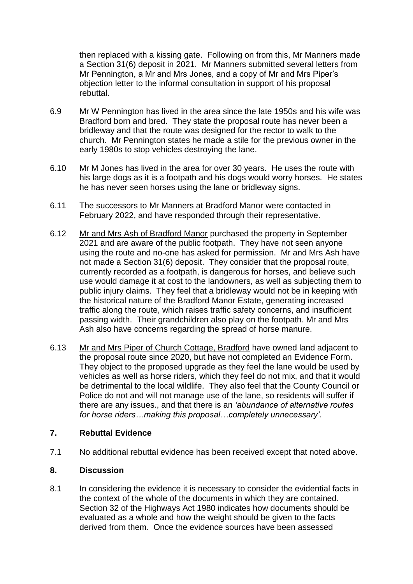then replaced with a kissing gate. Following on from this, Mr Manners made a Section 31(6) deposit in 2021. Mr Manners submitted several letters from Mr Pennington, a Mr and Mrs Jones, and a copy of Mr and Mrs Piper's objection letter to the informal consultation in support of his proposal rebuttal.

- 6.9 Mr W Pennington has lived in the area since the late 1950s and his wife was Bradford born and bred. They state the proposal route has never been a bridleway and that the route was designed for the rector to walk to the church. Mr Pennington states he made a stile for the previous owner in the early 1980s to stop vehicles destroying the lane.
- 6.10 Mr M Jones has lived in the area for over 30 years. He uses the route with his large dogs as it is a footpath and his dogs would worry horses. He states he has never seen horses using the lane or bridleway signs.
- 6.11 The successors to Mr Manners at Bradford Manor were contacted in February 2022, and have responded through their representative.
- 6.12 Mr and Mrs Ash of Bradford Manor purchased the property in September 2021 and are aware of the public footpath. They have not seen anyone using the route and no-one has asked for permission. Mr and Mrs Ash have not made a Section 31(6) deposit. They consider that the proposal route, currently recorded as a footpath, is dangerous for horses, and believe such use would damage it at cost to the landowners, as well as subjecting them to public injury claims. They feel that a bridleway would not be in keeping with the historical nature of the Bradford Manor Estate, generating increased traffic along the route, which raises traffic safety concerns, and insufficient passing width. Their grandchildren also play on the footpath. Mr and Mrs Ash also have concerns regarding the spread of horse manure.
- 6.13 Mr and Mrs Piper of Church Cottage, Bradford have owned land adjacent to the proposal route since 2020, but have not completed an Evidence Form. They object to the proposed upgrade as they feel the lane would be used by vehicles as well as horse riders, which they feel do not mix, and that it would be detrimental to the local wildlife. They also feel that the County Council or Police do not and will not manage use of the lane, so residents will suffer if there are any issues., and that there is an *'abundance of alternative routes for horse riders…making this proposal…completely unnecessary'*.

#### **7. Rebuttal Evidence**

7.1 No additional rebuttal evidence has been received except that noted above.

#### **8. Discussion**

8.1 In considering the evidence it is necessary to consider the evidential facts in the context of the whole of the documents in which they are contained. Section 32 of the Highways Act 1980 indicates how documents should be evaluated as a whole and how the weight should be given to the facts derived from them. Once the evidence sources have been assessed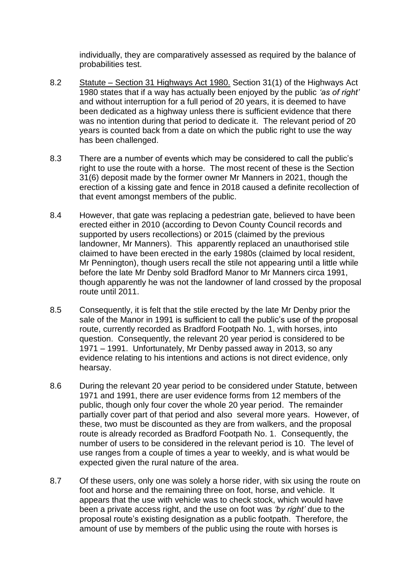individually, they are comparatively assessed as required by the balance of probabilities test.

- 8.2 Statute Section 31 Highways Act 1980. Section 31(1) of the Highways Act 1980 states that if a way has actually been enjoyed by the public *'as of right'* and without interruption for a full period of 20 years, it is deemed to have been dedicated as a highway unless there is sufficient evidence that there was no intention during that period to dedicate it. The relevant period of 20 years is counted back from a date on which the public right to use the way has been challenged.
- 8.3 There are a number of events which may be considered to call the public's right to use the route with a horse. The most recent of these is the Section 31(6) deposit made by the former owner Mr Manners in 2021, though the erection of a kissing gate and fence in 2018 caused a definite recollection of that event amongst members of the public.
- 8.4 However, that gate was replacing a pedestrian gate, believed to have been erected either in 2010 (according to Devon County Council records and supported by users recollections) or 2015 (claimed by the previous landowner, Mr Manners). This apparently replaced an unauthorised stile claimed to have been erected in the early 1980s (claimed by local resident, Mr Pennington), though users recall the stile not appearing until a little while before the late Mr Denby sold Bradford Manor to Mr Manners circa 1991, though apparently he was not the landowner of land crossed by the proposal route until 2011.
- 8.5 Consequently, it is felt that the stile erected by the late Mr Denby prior the sale of the Manor in 1991 is sufficient to call the public's use of the proposal route, currently recorded as Bradford Footpath No. 1, with horses, into question. Consequently, the relevant 20 year period is considered to be 1971 – 1991. Unfortunately, Mr Denby passed away in 2013, so any evidence relating to his intentions and actions is not direct evidence, only hearsay.
- 8.6 During the relevant 20 year period to be considered under Statute, between 1971 and 1991, there are user evidence forms from 12 members of the public, though only four cover the whole 20 year period. The remainder partially cover part of that period and also several more years. However, of these, two must be discounted as they are from walkers, and the proposal route is already recorded as Bradford Footpath No. 1. Consequently, the number of users to be considered in the relevant period is 10. The level of use ranges from a couple of times a year to weekly, and is what would be expected given the rural nature of the area.
- 8.7 Of these users, only one was solely a horse rider, with six using the route on foot and horse and the remaining three on foot, horse, and vehicle. It appears that the use with vehicle was to check stock, which would have been a private access right, and the use on foot was *'by right'* due to the proposal route's existing designation as a public footpath. Therefore, the amount of use by members of the public using the route with horses is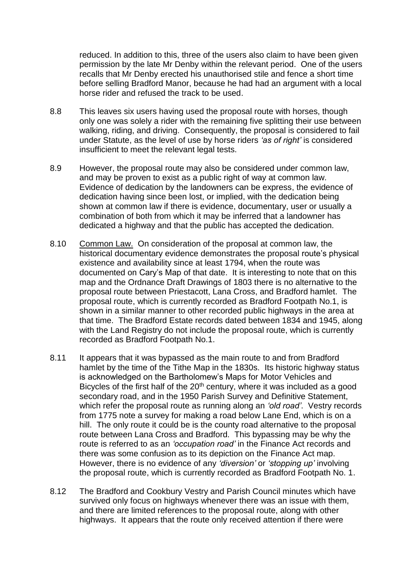reduced. In addition to this, three of the users also claim to have been given permission by the late Mr Denby within the relevant period. One of the users recalls that Mr Denby erected his unauthorised stile and fence a short time before selling Bradford Manor, because he had had an argument with a local horse rider and refused the track to be used.

- 8.8 This leaves six users having used the proposal route with horses, though only one was solely a rider with the remaining five splitting their use between walking, riding, and driving. Consequently, the proposal is considered to fail under Statute, as the level of use by horse riders *'as of right'* is considered insufficient to meet the relevant legal tests.
- 8.9 However, the proposal route may also be considered under common law, and may be proven to exist as a public right of way at common law. Evidence of dedication by the landowners can be express, the evidence of dedication having since been lost, or implied, with the dedication being shown at common law if there is evidence, documentary, user or usually a combination of both from which it may be inferred that a landowner has dedicated a highway and that the public has accepted the dedication.
- 8.10 Common Law. On consideration of the proposal at common law, the historical documentary evidence demonstrates the proposal route's physical existence and availability since at least 1794, when the route was documented on Cary's Map of that date. It is interesting to note that on this map and the Ordnance Draft Drawings of 1803 there is no alternative to the proposal route between Priestacott, Lana Cross, and Bradford hamlet. The proposal route, which is currently recorded as Bradford Footpath No.1, is shown in a similar manner to other recorded public highways in the area at that time. The Bradford Estate records dated between 1834 and 1945, along with the Land Registry do not include the proposal route, which is currently recorded as Bradford Footpath No.1.
- 8.11 It appears that it was bypassed as the main route to and from Bradford hamlet by the time of the Tithe Map in the 1830s. Its historic highway status is acknowledged on the Bartholomew's Maps for Motor Vehicles and Bicycles of the first half of the  $20<sup>th</sup>$  century, where it was included as a good secondary road, and in the 1950 Parish Survey and Definitive Statement, which refer the proposal route as running along an *'old road'*. Vestry records from 1775 note a survey for making a road below Lane End, which is on a hill. The only route it could be is the county road alternative to the proposal route between Lana Cross and Bradford. This bypassing may be why the route is referred to as an *'occupation road'* in the Finance Act records and there was some confusion as to its depiction on the Finance Act map. However, there is no evidence of any *'diversion'* or *'stopping up'* involving the proposal route, which is currently recorded as Bradford Footpath No. 1.
- 8.12 The Bradford and Cookbury Vestry and Parish Council minutes which have survived only focus on highways whenever there was an issue with them, and there are limited references to the proposal route, along with other highways. It appears that the route only received attention if there were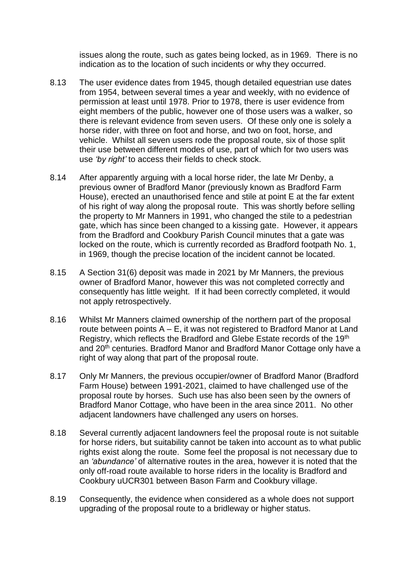issues along the route, such as gates being locked, as in 1969. There is no indication as to the location of such incidents or why they occurred.

- 8.13 The user evidence dates from 1945, though detailed equestrian use dates from 1954, between several times a year and weekly, with no evidence of permission at least until 1978. Prior to 1978, there is user evidence from eight members of the public, however one of those users was a walker, so there is relevant evidence from seven users. Of these only one is solely a horse rider, with three on foot and horse, and two on foot, horse, and vehicle. Whilst all seven users rode the proposal route, six of those split their use between different modes of use, part of which for two users was use *'by right'* to access their fields to check stock.
- 8.14 After apparently arguing with a local horse rider, the late Mr Denby, a previous owner of Bradford Manor (previously known as Bradford Farm House), erected an unauthorised fence and stile at point E at the far extent of his right of way along the proposal route. This was shortly before selling the property to Mr Manners in 1991, who changed the stile to a pedestrian gate, which has since been changed to a kissing gate. However, it appears from the Bradford and Cookbury Parish Council minutes that a gate was locked on the route, which is currently recorded as Bradford footpath No. 1, in 1969, though the precise location of the incident cannot be located.
- 8.15 A Section 31(6) deposit was made in 2021 by Mr Manners, the previous owner of Bradford Manor, however this was not completed correctly and consequently has little weight. If it had been correctly completed, it would not apply retrospectively.
- 8.16 Whilst Mr Manners claimed ownership of the northern part of the proposal route between points A – E, it was not registered to Bradford Manor at Land Registry, which reflects the Bradford and Glebe Estate records of the 19<sup>th</sup> and 20<sup>th</sup> centuries. Bradford Manor and Bradford Manor Cottage only have a right of way along that part of the proposal route.
- 8.17 Only Mr Manners, the previous occupier/owner of Bradford Manor (Bradford Farm House) between 1991-2021, claimed to have challenged use of the proposal route by horses. Such use has also been seen by the owners of Bradford Manor Cottage, who have been in the area since 2011. No other adjacent landowners have challenged any users on horses.
- 8.18 Several currently adjacent landowners feel the proposal route is not suitable for horse riders, but suitability cannot be taken into account as to what public rights exist along the route. Some feel the proposal is not necessary due to an *'abundance'* of alternative routes in the area, however it is noted that the only off-road route available to horse riders in the locality is Bradford and Cookbury uUCR301 between Bason Farm and Cookbury village.
- 8.19 Consequently, the evidence when considered as a whole does not support upgrading of the proposal route to a bridleway or higher status.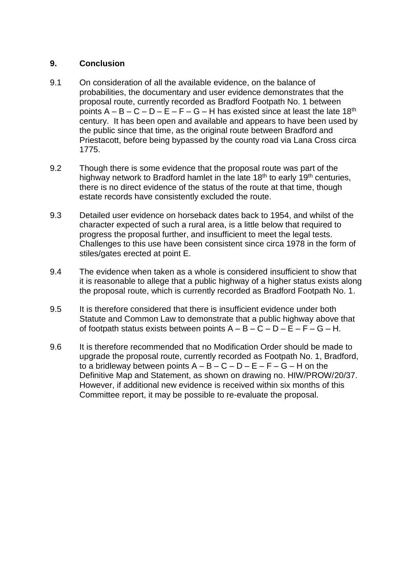## **9. Conclusion**

- 9.1 On consideration of all the available evidence, on the balance of probabilities, the documentary and user evidence demonstrates that the proposal route, currently recorded as Bradford Footpath No. 1 between points  $A - B - C - D - E - F - G - H$  has existed since at least the late 18<sup>th</sup> century. It has been open and available and appears to have been used by the public since that time, as the original route between Bradford and Priestacott, before being bypassed by the county road via Lana Cross circa 1775.
- 9.2 Though there is some evidence that the proposal route was part of the highway network to Bradford hamlet in the late  $18<sup>th</sup>$  to early  $19<sup>th</sup>$  centuries, there is no direct evidence of the status of the route at that time, though estate records have consistently excluded the route.
- 9.3 Detailed user evidence on horseback dates back to 1954, and whilst of the character expected of such a rural area, is a little below that required to progress the proposal further, and insufficient to meet the legal tests. Challenges to this use have been consistent since circa 1978 in the form of stiles/gates erected at point E.
- 9.4 The evidence when taken as a whole is considered insufficient to show that it is reasonable to allege that a public highway of a higher status exists along the proposal route, which is currently recorded as Bradford Footpath No. 1.
- 9.5 It is therefore considered that there is insufficient evidence under both Statute and Common Law to demonstrate that a public highway above that of footpath status exists between points  $A - B - C - D - E - F - G - H$ .
- 9.6 It is therefore recommended that no Modification Order should be made to upgrade the proposal route, currently recorded as Footpath No. 1, Bradford, to a bridleway between points  $A - B - C - D - E - F - G - H$  on the Definitive Map and Statement, as shown on drawing no. HIW/PROW/20/37. However, if additional new evidence is received within six months of this Committee report, it may be possible to re-evaluate the proposal.